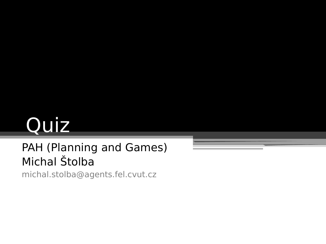# Quiz

### PAH (Planning and Games) Michal Štolba

michal.stolba@agents.fel.cvut.cz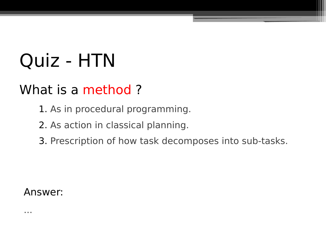### What is a method?

- 1. As in procedural programming.
- 2. As action in classical planning.
- 3. Prescription of how task decomposes into sub-tasks.

#### Answer: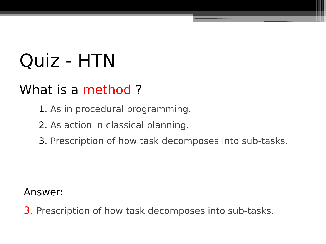### What is a method?

- 1. As in procedural programming.
- 2. As action in classical planning.
- 3. Prescription of how task decomposes into sub-tasks.

#### Answer:

3. Prescription of how task decomposes into sub-tasks.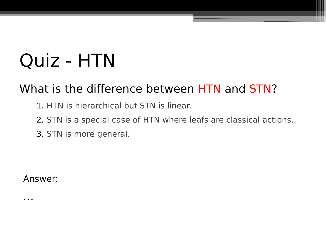### What is the difference between HTN and STN?

- 1. HTN is hierarchical but STN is linear.
- 2. STN is a special case of HTN where leafs are classical actions.
- 3. STN is more general.

Answer: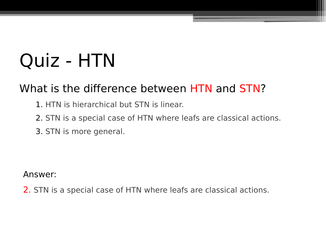### What is the difference between HTN and STN?

- 1. HTN is hierarchical but STN is linear.
- 2. STN is a special case of HTN where leafs are classical actions.
- 3. STN is more general.

Answer:

2. STN is a special case of HTN where leafs are classical actions.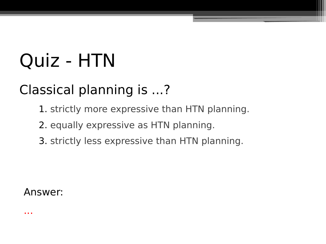## Classical planning is ...?

- 1. strictly more expressive than HTN planning.
- 2. equally expressive as HTN planning.
- 3. strictly less expressive than HTN planning.

#### Answer: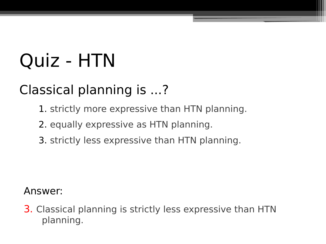### Classical planning is ...?

- 1. strictly more expressive than HTN planning.
- 2. equally expressive as HTN planning.
- 3. strictly less expressive than HTN planning.

### Answer:

3. Classical planning is strictly less expressive than HTN planning.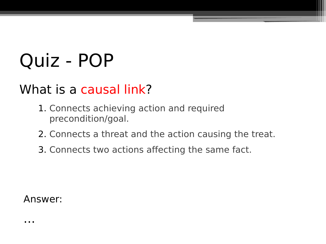### What is a causal link?

- 1. Connects achieving action and required precondition/goal.
- 2. Connects a threat and the action causing the treat.
- 3. Connects two actions affecting the same fact.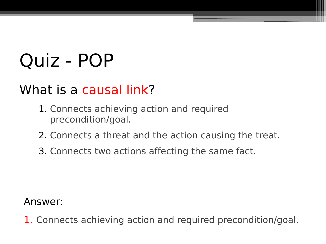### What is a causal link?

- 1. Connects achieving action and required precondition/goal.
- 2. Connects a threat and the action causing the treat.
- 3. Connects two actions affecting the same fact.

Answer:

1. Connects achieving action and required precondition/goal.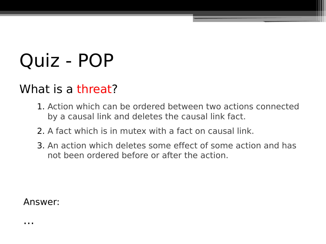### What is a threat?

- 1. Action which can be ordered between two actions connected by a causal link and deletes the causal link fact.
- 2. A fact which is in mutex with a fact on causal link.
- 3. An action which deletes some effect of some action and has not been ordered before or after the action.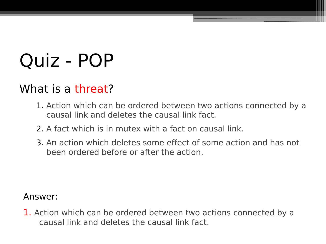### What is a threat?

- 1. Action which can be ordered between two actions connected by a causal link and deletes the causal link fact.
- 2. A fact which is in mutex with a fact on causal link.
- 3. An action which deletes some effect of some action and has not been ordered before or after the action.

#### Answer:

1. Action which can be ordered between two actions connected by a causal link and deletes the causal link fact.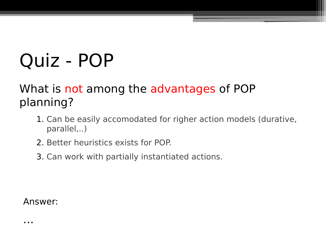### What is not among the advantages of POP planning?

- 1. Can be easily accomodated for righer action models (durative, parallel,..)
- 2. Better heuristics exists for POP.
- 3. Can work with partially instantiated actions.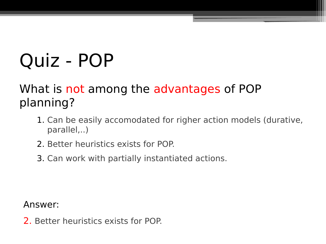### What is not among the advantages of POP planning?

- 1. Can be easily accomodated for righer action models (durative, parallel,..)
- 2. Better heuristics exists for POP.
- 3. Can work with partially instantiated actions.

Answer:

2. Better heuristics exists for POP.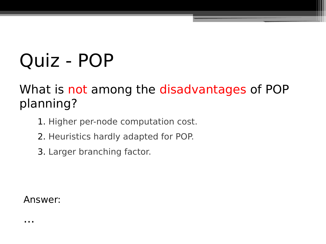### What is not among the disadvantages of POP planning?

- 1. Higher per-node computation cost.
- 2. Heuristics hardly adapted for POP.
- 3. Larger branching factor.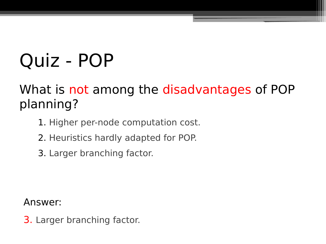### What is not among the disadvantages of POP planning?

- 1. Higher per-node computation cost.
- 2. Heuristics hardly adapted for POP.
- 3. Larger branching factor.

Answer:

3. Larger branching factor.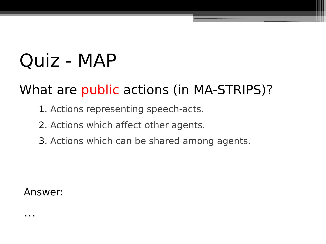### What are public actions (in MA-STRIPS)?

- 1. Actions representing speech-acts.
- 2. Actions which affect other agents.
- 3. Actions which can be shared among agents.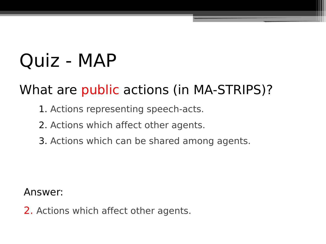### What are public actions (in MA-STRIPS)?

- 1. Actions representing speech-acts.
- 2. Actions which affect other agents.
- 3. Actions which can be shared among agents.

Answer:

2. Actions which affect other agents.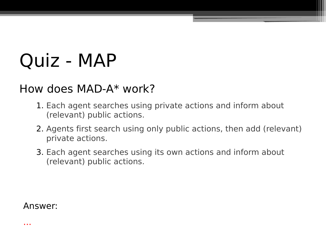### How does MAD-A\* work?

- 1. Each agent searches using private actions and inform about (relevant) public actions.
- 2. Agents first search using only public actions, then add (relevant) private actions.
- 3. Each agent searches using its own actions and inform about (relevant) public actions.

Answer: